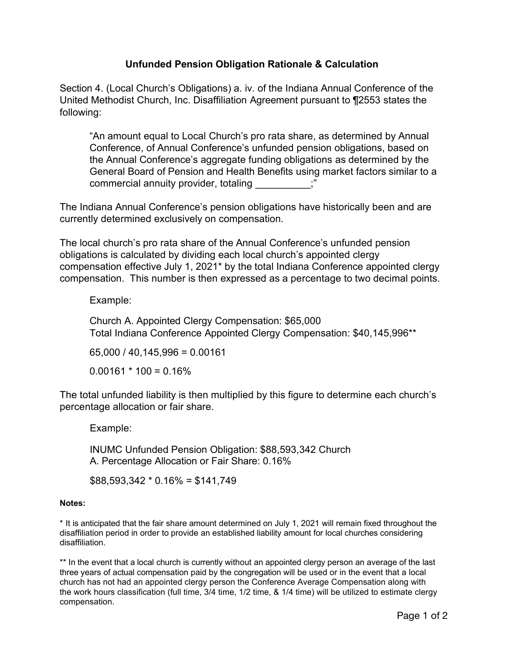# **Unfunded Pension Obligation Rationale & Calculation**

Section 4. (Local Church's Obligations) a. iv. of the Indiana Annual Conference of the United Methodist Church, Inc. Disaffiliation Agreement pursuant to ¶2553 states the following:

"An amount equal to Local Church's pro rata share, as determined by Annual Conference, of Annual Conference's unfunded pension obligations, based on the Annual Conference's aggregate funding obligations as determined by the General Board of Pension and Health Benefits using market factors similar to a commercial annuity provider, totaling  $\ddot{\hspace{1cm}}$ 

The Indiana Annual Conference's pension obligations have historically been and are currently determined exclusively on compensation.

The local church's pro rata share of the Annual Conference's unfunded pension obligations is calculated by dividing each local church's appointed clergy compensation effective July 1, 2021\* by the total Indiana Conference appointed clergy compensation. This number is then expressed as a percentage to two decimal points.

## Example:

Church A. Appointed Clergy Compensation: \$65,000 Total Indiana Conference Appointed Clergy Compensation: \$40,145,996\*\*

65,000 / 40,145,996 = 0.00161

 $0.00161 * 100 = 0.16%$ 

The total unfunded liability is then multiplied by this figure to determine each church's percentage allocation or fair share.

Example:

INUMC Unfunded Pension Obligation: \$88,593,342 Church A. Percentage Allocation or Fair Share: 0.16%

 $$88,593,342 * 0.16% = $141,749$ 

#### **Notes:**

\* It is anticipated that the fair share amount determined on July 1, 2021 will remain fixed throughout the disaffiliation period in order to provide an established liability amount for local churches considering disaffiliation.

\*\* In the event that a local church is currently without an appointed clergy person an average of the last three years of actual compensation paid by the congregation will be used or in the event that a local church has not had an appointed clergy person the Conference Average Compensation along with the work hours classification (full time, 3/4 time, 1/2 time, & 1/4 time) will be utilized to estimate clergy compensation.